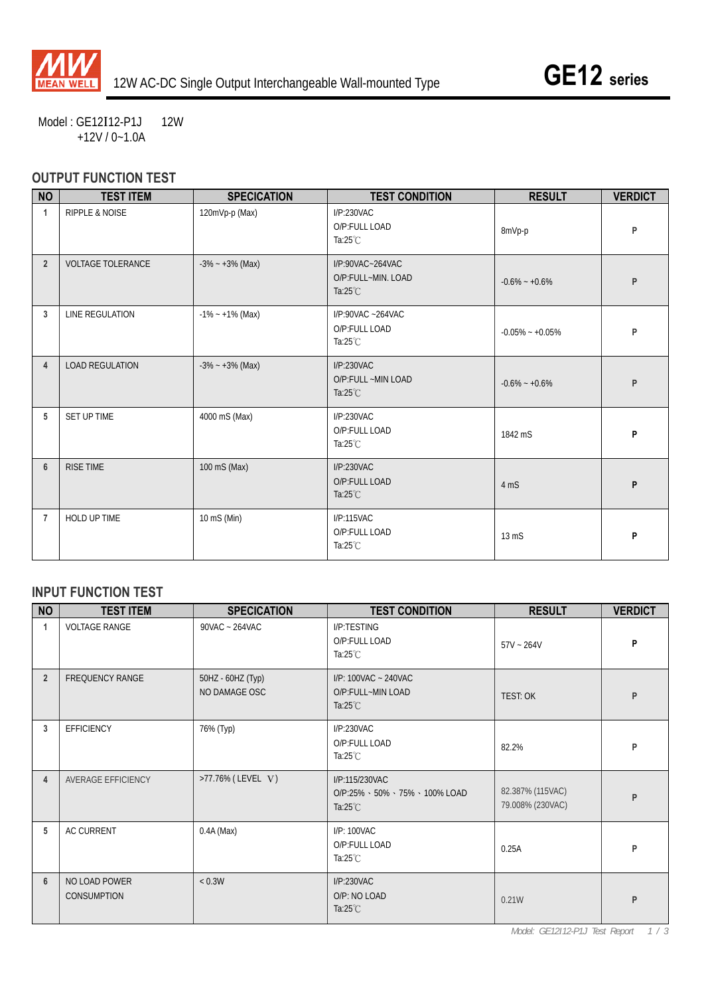

Model: GE12I12-P1J 12W +12V / 0~1.0A

## **OUTPUT FUNCTION TEST**

| <b>NO</b>      | <b>TEST ITEM</b>          | <b>SPECICATION</b>  | <b>TEST CONDITION</b>                                        | <b>RESULT</b>       | <b>VERDICT</b> |
|----------------|---------------------------|---------------------|--------------------------------------------------------------|---------------------|----------------|
| 1              | <b>RIPPLE &amp; NOISE</b> | 120mVp-p (Max)      | I/P:230VAC<br>O/P:FULL LOAD<br>Ta: $25^{\circ}$ C            | 8mVp-p              | P              |
| $\overline{2}$ | <b>VOLTAGE TOLERANCE</b>  | $-3\% - +3\%$ (Max) | I/P:90VAC~264VAC<br>O/P:FULL~MIN. LOAD<br>Ta: $25^{\circ}$ C | $-0.6\% - +0.6\%$   | P              |
| 3              | LINE REGULATION           | $-1\% - +1\%$ (Max) | I/P:90VAC ~264VAC<br>O/P:FULL LOAD<br>Ta: $25^{\circ}$ C     | $-0.05\% - +0.05\%$ | P              |
| 4              | <b>LOAD REGULATION</b>    | $-3\% - +3\%$ (Max) | I/P:230VAC<br>O/P:FULL ~MIN LOAD<br>Ta: $25^{\circ}$ C       | $-0.6\% - +0.6\%$   | P              |
| 5              | <b>SET UP TIME</b>        | 4000 mS (Max)       | I/P:230VAC<br>O/P:FULL LOAD<br>Ta: $25^{\circ}$ C            | 1842 mS             | P              |
| $6\phantom{1}$ | <b>RISE TIME</b>          | 100 mS (Max)        | I/P:230VAC<br>O/P:FULL LOAD<br>Ta: $25^{\circ}$ C            | 4 mS                | P              |
| 7              | HOLD UP TIME              | 10 mS (Min)         | I/P:115VAC<br>O/P:FULL LOAD<br>Ta: $25^{\circ}$ C            | $13 \text{ m}$      | P              |

#### **INPUT FUNCTION TEST**

| <b>NO</b>      | <b>TEST ITEM</b>                    | <b>SPECICATION</b>                 | <b>TEST CONDITION</b>                                                                     | <b>RESULT</b>                        | <b>VERDICT</b> |
|----------------|-------------------------------------|------------------------------------|-------------------------------------------------------------------------------------------|--------------------------------------|----------------|
| 1              | <b>VOLTAGE RANGE</b>                | 90VAC ~ 264VAC                     | I/P:TESTING<br>O/P:FULL LOAD<br>Ta: $25^{\circ}$ C                                        | $57V - 264V$                         | P              |
| $\overline{2}$ | <b>FREQUENCY RANGE</b>              | 50HZ - 60HZ (Typ)<br>NO DAMAGE OSC | I/P: 100VAC ~ 240VAC<br>O/P:FULL~MIN LOAD<br>Ta: $25^{\circ}$ C                           | <b>TEST: OK</b>                      | P              |
| 3              | <b>EFFICIENCY</b>                   | 76% (Typ)                          | I/P:230VAC<br>O/P:FULL LOAD<br>Ta: $25^{\circ}$ C                                         | 82.2%                                | P              |
| 4              | AVERAGE EFFICIENCY                  | >77.76% (LEVEL V)                  | I/P:115/230VAC<br>$O/P:25\% \cdot 50\% \cdot 75\% \cdot 100\%$ LOAD<br>Ta: $25^{\circ}$ C | 82.387% (115VAC)<br>79.008% (230VAC) | P              |
| 5              | <b>AC CURRENT</b>                   | $0.4A$ (Max)                       | I/P: 100VAC<br>O/P:FULL LOAD<br>Ta: $25^{\circ}$ C                                        | 0.25A                                | P              |
| $6\phantom{1}$ | NO LOAD POWER<br><b>CONSUMPTION</b> | < 0.3W                             | I/P:230VAC<br>O/P: NO LOAD<br>Ta: $25^{\circ}$ C                                          | 0.21W                                | P              |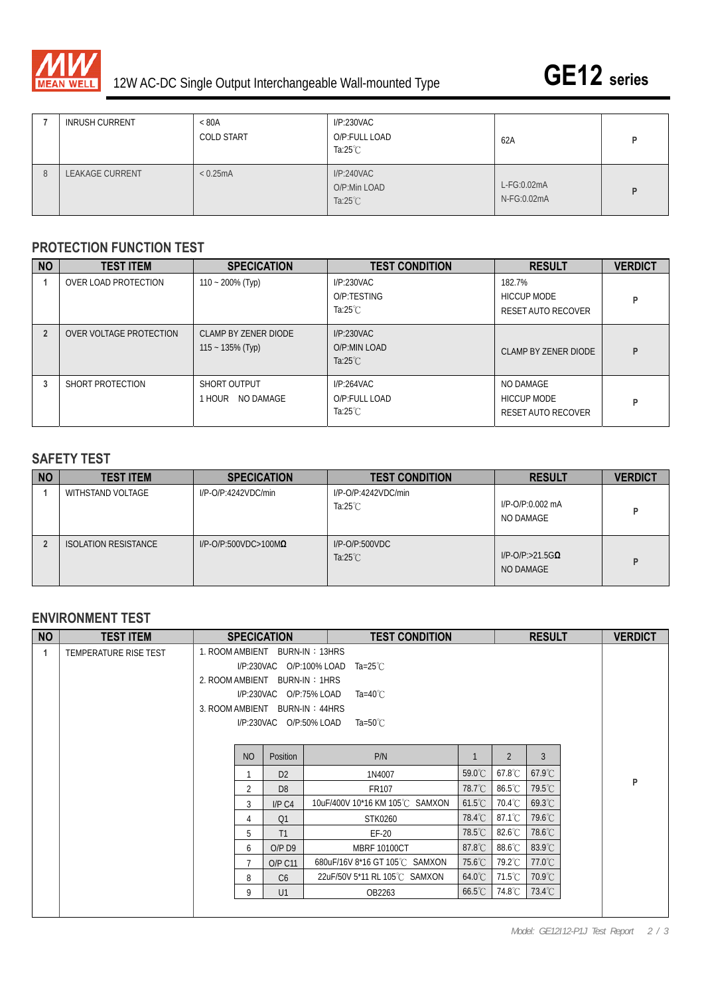

| <b>INRUSH CURRENT</b>  | < 80A<br><b>COLD START</b> | I/P:230VAC<br>O/P:FULL LOAD<br>Ta: $25^{\circ}$ C | 62A                        |  |
|------------------------|----------------------------|---------------------------------------------------|----------------------------|--|
| <b>LEAKAGE CURRENT</b> | < 0.25mA                   | I/P:240VAC<br>O/P:Min LOAD<br>Ta: $25^{\circ}$ C  | L-FG:0.02mA<br>N-FG:0.02mA |  |

#### **PROTECTION FUNCTION TEST**

| <b>NO</b> | <b>TEST ITEM</b>        | <b>SPECICATION</b>                          | <b>TEST CONDITION</b>                             | <b>RESULT</b>                                      | <b>VERDICT</b> |
|-----------|-------------------------|---------------------------------------------|---------------------------------------------------|----------------------------------------------------|----------------|
|           | OVER LOAD PROTECTION    | $110 - 200\%$ (Typ)                         | I/P:230VAC<br>O/P:TESTING<br>Ta: $25^{\circ}$ C   | 182.7%<br><b>HICCUP MODE</b><br>RESET AUTO RECOVER | P              |
|           | OVER VOLTAGE PROTECTION | CLAMP BY ZENER DIODE<br>$115 - 135\%$ (Typ) | I/P:230VAC<br>O/P:MIN LOAD<br>Ta: $25^{\circ}$ C  | CLAMP BY ZENER DIODE                               | P              |
| 3         | SHORT PROTECTION        | SHORT OUTPUT<br><b>HOUR NO DAMAGE</b>       | I/P:264VAC<br>O/P:FULL LOAD<br>Ta: $25^{\circ}$ C | NO DAMAGE<br>HICCUP MODE<br>RESET AUTO RECOVER     | P              |

### **SAFETY TEST**

| <b>NO</b> | <b>TEST ITEM</b>            | <b>SPECICATION</b>              | <b>TEST CONDITION</b>                   | <b>RESULT</b>                           | <b>VERDICT</b> |
|-----------|-----------------------------|---------------------------------|-----------------------------------------|-----------------------------------------|----------------|
|           | WITHSTAND VOLTAGE           | $I/P$ -O/P:4242VDC/min          | I/P-O/P:4242VDC/min<br>Ta:25 $°C$       | I/P-O/P:0.002 mA<br>NO DAMAGE           | D              |
|           | <b>ISOLATION RESISTANCE</b> | $I/P$ -O/P:500VDC>100M $\Omega$ | $I/P$ -O/P:500VDC<br>Ta: $25^{\circ}$ C | $I/P$ -O/P:>21.5G $\Omega$<br>NO DAMAGE | D              |

## **ENVIRONMENT TEST**

| <b>NO</b> | <b>TEST ITEM</b>      |                                | <b>SPECICATION</b>                     | <b>TEST CONDITION</b>          |                  |                  | <b>RESULT</b>    |  | <b>VERDICT</b> |
|-----------|-----------------------|--------------------------------|----------------------------------------|--------------------------------|------------------|------------------|------------------|--|----------------|
| 1         | TEMPERATURE RISE TEST | 1. ROOM AMBIENT BURN-IN: 13HRS |                                        |                                |                  |                  |                  |  |                |
|           |                       |                                | I/P:230VAC O/P:100% LOAD<br>Ta=25 $°C$ |                                |                  |                  |                  |  |                |
|           |                       | 2. ROOM AMBIENT BURN-IN: 1HRS  |                                        |                                |                  |                  |                  |  |                |
|           |                       |                                | I/P:230VAC O/P:75% LOAD                | Ta=40 $^{\circ}$ C             |                  |                  |                  |  |                |
|           |                       | 3. ROOM AMBIENT BURN-IN: 44HRS |                                        |                                |                  |                  |                  |  |                |
|           |                       |                                |                                        | Ta=50 $^{\circ}$ C             |                  |                  |                  |  |                |
|           |                       |                                |                                        |                                |                  |                  |                  |  |                |
|           |                       | <b>NO</b>                      | Position                               | P/N                            |                  | $\overline{2}$   | 3                |  |                |
|           |                       |                                | D <sub>2</sub>                         | 1N4007                         | $59.0^{\circ}$ C | $67.8^{\circ}$ C | $67.9^{\circ}$ C |  |                |
|           |                       | 2                              | D <sub>8</sub>                         | FR107                          | 78.7°C           | $86.5^{\circ}$ C | 79.5°C           |  | P              |
|           |                       | 3                              | I/P C4                                 | 10uF/400V 10*16 KM 105℃ SAMXON | $61.5^{\circ}$ C | $70.4^{\circ}$ C | 69.3°C           |  |                |
|           |                       | 4                              | Q1                                     | STK0260                        | 78.4°C           | $87.1^{\circ}$ C | 79.6°C           |  |                |
|           |                       | 5                              | T1                                     | $EF-20$                        | 78.5℃            | $82.6^{\circ}$ C | 78.6°C           |  |                |
|           |                       | 6                              | $O/P$ D <sub>9</sub>                   | <b>MBRF 10100CT</b>            | $87.8^{\circ}$ C | $88.6^{\circ}$ C | 83.9°C           |  |                |
|           |                       | $\overline{7}$                 | <b>O/P C11</b>                         | 680uF/16V 8*16 GT 105°C SAMXON | $75.6^{\circ}$ C | 79.2°C           | $77.0^{\circ}$ C |  |                |
|           |                       | 8                              | C6                                     | 22uF/50V 5*11 RL 105℃ SAMXON   | $64.0^{\circ}$ C | 71.5°C           | $70.9^{\circ}$ C |  |                |
|           |                       | 9                              | U1                                     | OB2263                         | $66.5^{\circ}$ C | 74.8°C           | $73.4^{\circ}$ C |  |                |
|           |                       |                                |                                        |                                |                  |                  |                  |  |                |